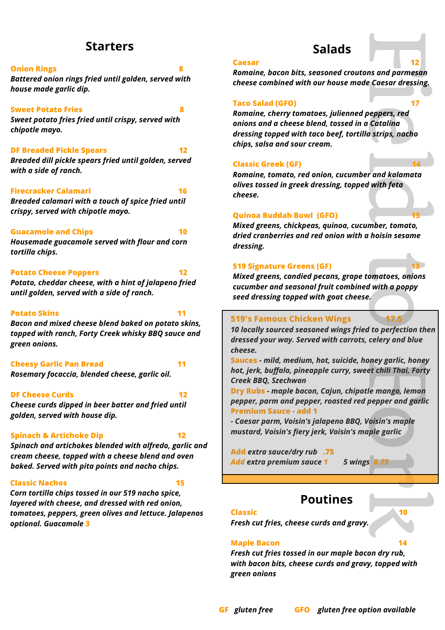## **Starters**

#### **Onion Rings**

*Battered onion rings fried until golden, served with house made garlic dip.*

#### **Sweet Potato Fries**

*Sweet potato fries fried until crispy, served with chipotle mayo.*

#### **DF Breaded Pickle Spears**

*Breaded dill pickle spears fried until golden, served with a side of ranch.*

#### **Firecracker Calamari** 16

*Breaded calamari with a touch of spice fried until crispy, served with chipotle mayo.*

#### **Guacamole and Chips 10 10**

*Housemade guacamole served with flour and corn tortilla chips.*

#### **Potato Cheese Poppers 12**

*Potato, cheddar cheese, with a hint of jalapeno fried until golden, served with a side of ranch.*

#### **Potato Skins**

*Bacon and mixed cheese blend baked on potato skins, topped with ranch, Forty Creek whisky BBQ sauce and green onions.*

**Cheesy Garlic Pan Bread 11 11** *Rosemary focaccia, blended cheese, garlic oil.*

#### **DF Cheese Curds 12**

*Cheese curds dipped in beer batter and fried until golden, served with house dip.*

#### **Spinach & Artichoke Dip 12**

*Spinach and artichokes blended with alfredo, garlic and cream cheese, topped with a cheese blend and oven baked. Served with pita points and nacho chips.*

#### **Classic Nachos 15**

*Corn tortilla chips tossed in our 519 nacho spice, layered with cheese, and dressed with red onion, tomatoes, peppers, green olives and lettuce. Jalapenos optional. Guacamole* **3**

#### **Caesar 12**

*Romaine, bacon bits, seasoned croutons and parmesan cheese combined with our house made Caesar dressing.*

**Salads**

### **Taco Salad (GFO) 17**

12<br>
Ins and parmesan<br>
Passar dressing,<br>
17<br>
Deppers, red<br>
Catalina<br>
a strips, nacho<br>
14<br>
a strips, nacho<br>
14<br>
a mand kalamata<br>
With feta<br>
15<br>
mber, tomato,<br>
16<br>
hoisin sesame<br>
d with a poppy<br>
2.<br>
17.5<br>
d to perfection then *Romaine, cherry tomatoes, julienned peppers, red onions and a cheese blend, tossed in a Catalina dressing topped with taco beef, tortilla strips, nacho chips, salsa and sour cream.*

#### **Classic Greek (GF) 14**

*Romaine, tomato, red onion, cucumber and kalamata olives tossed in greek dressing, topped with feta cheese.*

#### **Quinoa Buddah Bowl (GFO) 15**

*Mixed greens, chickpeas, quinoa, cucumber, tomato, dried cranberries and red onion with a hoisin sesame dressing.*

#### **519 Signature Greens (GF) 13**

*Mixed greens, candied pecans, grape tomatoes, onions cucumber and seasonal fruit combined with a poppy seed dressing topped with goat cheese.*

### **519's Famous Chicken Wings**

*10 locally sourced seasoned wings fried to perfection then dressed your way. Served with carrots, celery and blue cheese.*

**Sauces** *- mild, medium, hot, suicide, honey garlic, honey hot, jerk, buffalo, pineapple curry, sweet chili Thai, Forty Creek BBQ, Szechwan*

**Dry Rubs** *- maple bacon, Cajun, chipotle mango, lemon pepper, parm and pepper, roasted red pepper and garlic* **Premium Sauce - add 1**

*- Caesar parm, Voisin's jalapeno BBQ, Voisin's maple mustard, Voisin's fiery jerk, Voisin's maple garlic* 

**Add** *extra sauce/dry rub* **.75**  *Add extra premium sauce 1 5 wings 8.75*

## **Poutines**

#### **Classic 10**

*Fresh cut fries, cheese curds and gravy.*

#### **Maple Bacon**

*Fresh cut fries tossed in our maple bacon dry rub, with bacon bits, cheese curds and gravy, topped with green onions*